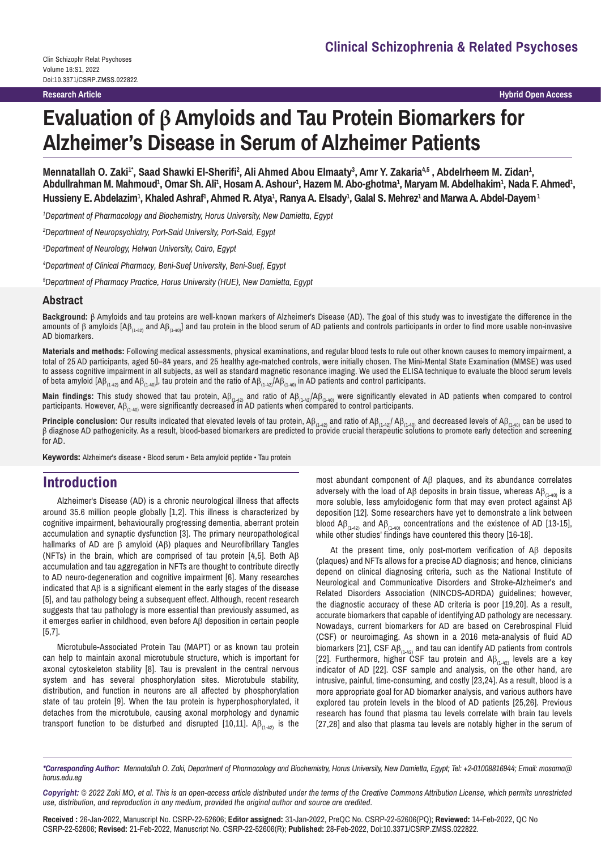**Research Article**

**Hybrid Open Access**

# **Evaluation of β Amyloids and Tau Protein Biomarkers for Alzheimer's Disease in Serum of Alzheimer Patients**

Mennatallah O. Zaki<sup>1</sup>\*, Saad Shawki El-Sherifi<sup>2</sup>, Ali Ahmed Abou Elmaaty<sup>3</sup>, Amr Y. Zakaria<sup>4,5</sup> , Abdelrheem M. Zidan<sup>1</sup>, Abdullrahman M. Mahmoud<sup>1</sup>, Omar Sh. Ali<sup>1</sup>, Hosam A. Ashour<sup>1</sup>, Hazem M. Abo-ghotma<sup>1</sup>, Maryam M. Abdelhakim<sup>1</sup>, Nada F. Ahmed<sup>1</sup>, Hussieny E. Abdelazim<sup>1</sup>, Khaled Ashraf<sup>1</sup>, Ahmed R. Atya<sup>1</sup>, Ranya A. Elsady<sup>1</sup>, Galal S. Mehrez<sup>1</sup> and Marwa A. Abdel-Dayem<sup>1</sup>

*1 Department of Pharmacology and Biochemistry, Horus University, New Damietta, Egypt*

*2 Department of Neuropsychiatry, Port-Said University, Port-Said, Egypt*

*3 Department of Neurology, Helwan University, Cairo, Egypt*

*4 Department of Clinical Pharmacy, Beni-Suef University, Beni-Suef, Egypt*

*5 Department of Pharmacy Practice, Horus University (HUE), New Damietta, Egypt*

## **Abstract**

**Background:** β Amyloids and tau proteins are well-known markers of Alzheimer's Disease (AD). The goal of this study was to investigate the difference in the amounts of β amyloids  $[AB_{(1-42)}$  and  $AB_{(1-40)}]$  and tau protein in the blood serum of AD patients and controls participants in order to find more usable non-invasive AD biomarkers.

**Materials and methods:** Following medical assessments, physical examinations, and regular blood tests to rule out other known causes to memory impairment, a total of 25 AD participants, aged 50–84 years, and 25 healthy age-matched controls, were initially chosen. The Mini-Mental State Examination (MMSE) was used to assess cognitive impairment in all subjects, as well as standard magnetic resonance imaging. We used the ELISA technique to evaluate the blood serum levels of beta amyloid [A $\beta_{(1-42)}$  and A $\beta_{(1-40)}$ ], tau protein and the ratio of A $\beta_{(1-42)}$ /A $\beta_{(1-40)}$  in AD patients and control participants.

**Main findings:** This study showed that tau protein, Aβ<sub>(1-42)</sub> and ratio of Aβ<sub>(1-42)</sub>/Aβ<sub>(1-40)</sub> were significantly elevated in AD patients when compared to control participants. However, Aβ $_{\scriptscriptstyle{(1\!40)}}$  were significantly decreased in AD patients when compared to control participants.

**Principle conclusion:** Our results indicated that elevated levels of tau protein, A $\beta_{(1-42)}$  and ratio of A $\beta_{(1-40)}$  AB<sub>(1-40</sub>) and decreased levels of AB<sub>(1-40</sub>) can be used to β diagnose AD pathogenicity. As a result, blood-based biomarkers are predicted to provide crucial therapeutic solutions to promote early detection and screening for AD.

**Keywords:** Alzheimer's disease • Blood serum • Beta amyloid peptide • Tau protein

## **Introduction**

Alzheimer's Disease (AD) is a chronic neurological illness that affects around 35.6 million people globally [1,2]. This illness is characterized by cognitive impairment, behaviourally progressing dementia, aberrant protein accumulation and synaptic dysfunction [3]. The primary neuropathological hallmarks of AD are β amyloid (Aβ) plaques and Neurofibrillary Tangles (NFTs) in the brain, which are comprised of tau protein [4,5]. Both Aβ accumulation and tau aggregation in NFTs are thought to contribute directly to AD neuro-degeneration and cognitive impairment [6]. Many researches indicated that Aβ is a significant element in the early stages of the disease [5], and tau pathology being a subsequent effect. Although, recent research suggests that tau pathology is more essential than previously assumed, as it emerges earlier in childhood, even before Aβ deposition in certain people [5,7].

Microtubule-Associated Protein Tau (MAPT) or as known tau protein can help to maintain axonal microtubule structure, which is important for axonal cytoskeleton stability [8]. Tau is prevalent in the central nervous system and has several phosphorylation sites. Microtubule stability, distribution, and function in neurons are all affected by phosphorylation state of tau protein [9]. When the tau protein is hyperphosphorylated, it detaches from the microtubule, causing axonal morphology and dynamic transport function to be disturbed and disrupted [10,11].  $\mathsf{AB}_{(1\rightarrow 2)}$  is the

most abundant component of Aβ plaques, and its abundance correlates adversely with the load of Aβ deposits in brain tissue, whereas  $AB_{(1,40)}$  is a more soluble, less amyloidogenic form that may even protect against  $A\beta$ deposition [12]. Some researchers have yet to demonstrate a link between blood  $AB_{(1-42)}$  and  $AB_{(1-40)}$  concentrations and the existence of AD [13-15], while other studies' findings have countered this theory [16-18].

At the present time, only post-mortem verification of Aβ deposits (plaques) and NFTs allows for a precise AD diagnosis; and hence, clinicians depend on clinical diagnosing criteria, such as the National Institute of Neurological and Communicative Disorders and Stroke-Alzheimer's and Related Disorders Association (NINCDS-ADRDA) guidelines; however, the diagnostic accuracy of these AD criteria is poor [19,20]. As a result, accurate biomarkers that capable of identifying AD pathology are necessary. Nowadays, current biomarkers for AD are based on Cerebrospinal Fluid (CSF) or neuroimaging. As shown in a 2016 meta-analysis of fluid AD biomarkers [21], CSF A $\beta_{(1-42)}$  and tau can identify AD patients from controls [22]. Furthermore, higher CSF tau protein and  $AB_{(1-42)}$  levels are a key indicator of AD [22]. CSF sample and analysis, on the other hand, are intrusive, painful, time-consuming, and costly [23,24]. As a result, blood is a more appropriate goal for AD biomarker analysis, and various authors have explored tau protein levels in the blood of AD patients [25,26]. Previous research has found that plasma tau levels correlate with brain tau levels [27,28] and also that plasma tau levels are notably higher in the serum of

*\*Corresponding Author: Mennatallah O. Zaki, Department of Pharmacology and Biochemistry, Horus University, New Damietta, Egypt; Tel: +2-01008816944; Email: mosama@ horus.edu.eg*

*Copyright: © 2022 Zaki MO, et al. This is an open-access article distributed under the terms of the Creative Commons Attribution License, which permits unrestricted use, distribution, and reproduction in any medium, provided the original author and source are credited.*

**Received :** 26-Jan-2022, Manuscript No. CSRP-22-52606; **Editor assigned:** 31-Jan-2022, PreQC No. CSRP-22-52606(PQ); **Reviewed:** 14-Feb-2022, QC No CSRP-22-52606; **Revised:** 21-Feb-2022, Manuscript No. CSRP-22-52606(R); **Published:** 28-Feb-2022, Doi:10.3371/CSRP.ZMSS.022822.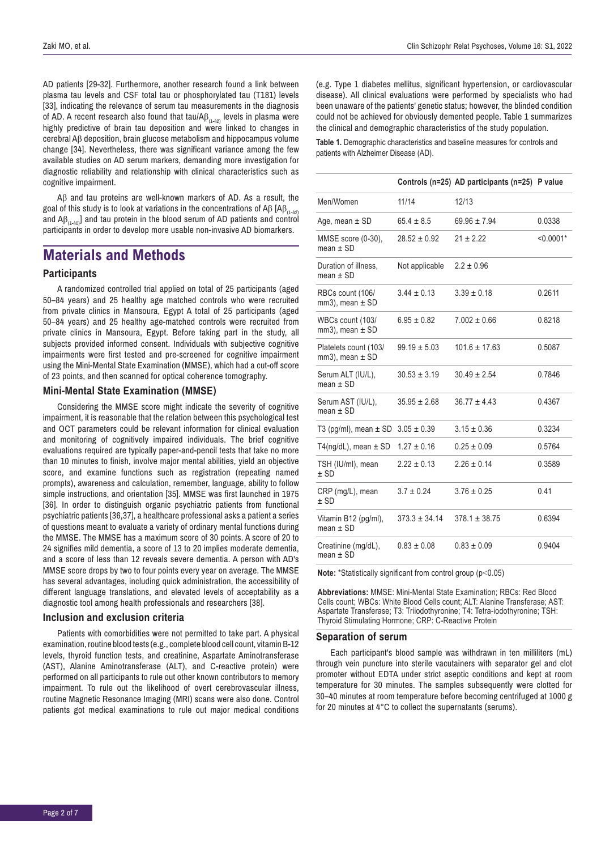AD patients [29-32]. Furthermore, another research found a link between plasma tau levels and CSF total tau or phosphorylated tau (T181) levels [33], indicating the relevance of serum tau measurements in the diagnosis of AD. A recent research also found that tau/A $\beta_{(1-42)}$  levels in plasma were highly predictive of brain tau deposition and were linked to changes in cerebral Aβ deposition, brain glucose metabolism and hippocampus volume change [34]. Nevertheless, there was significant variance among the few available studies on AD serum markers, demanding more investigation for diagnostic reliability and relationship with clinical characteristics such as cognitive impairment.

Aβ and tau proteins are well-known markers of AD. As a result, the goal of this study is to look at variations in the concentrations of Aβ [Aβ<sub>(1-42)</sub> and  $\mathsf{AB}_{(1,40)}$ ] and tau protein in the blood serum of AD patients and control participants in order to develop more usable non-invasive AD biomarkers.

# **Materials and Methods**

## **Participants**

A randomized controlled trial applied on total of 25 participants (aged 50–84 years) and 25 healthy age matched controls who were recruited from private clinics in Mansoura, Egypt A total of 25 participants (aged 50–84 years) and 25 healthy age-matched controls were recruited from private clinics in Mansoura, Egypt. Before taking part in the study, all subjects provided informed consent. Individuals with subjective cognitive impairments were first tested and pre-screened for cognitive impairment using the Mini-Mental State Examination (MMSE), which had a cut-off score of 23 points, and then scanned for optical coherence tomography.

## **Mini-Mental State Examination (MMSE)**

Considering the MMSE score might indicate the severity of cognitive impairment, it is reasonable that the relation between this psychological test and OCT parameters could be relevant information for clinical evaluation and monitoring of cognitively impaired individuals. The brief cognitive evaluations required are typically paper-and-pencil tests that take no more than 10 minutes to finish, involve major mental abilities, yield an objective score, and examine functions such as registration (repeating named prompts), awareness and calculation, remember, language, ability to follow simple instructions, and orientation [35]. MMSE was first launched in 1975 [36]. In order to distinguish organic psychiatric patients from functional psychiatric patients [36,37], a healthcare professional asks a patient a series of questions meant to evaluate a variety of ordinary mental functions during the MMSE. The MMSE has a maximum score of 30 points. A score of 20 to 24 signifies mild dementia, a score of 13 to 20 implies moderate dementia, and a score of less than 12 reveals severe dementia. A person with AD's MMSE score drops by two to four points every year on average. The MMSE has several advantages, including quick administration, the accessibility of different language translations, and elevated levels of acceptability as a diagnostic tool among health professionals and researchers [38].

## **Inclusion and exclusion criteria**

Patients with comorbidities were not permitted to take part. A physical examination, routine blood tests (e.g., complete blood cell count, vitamin B-12 levels, thyroid function tests, and creatinine, Aspartate Aminotransferase (AST), Alanine Aminotransferase (ALT), and C-reactive protein) were performed on all participants to rule out other known contributors to memory impairment. To rule out the likelihood of overt cerebrovascular illness, routine Magnetic Resonance Imaging (MRI) scans were also done. Control patients got medical examinations to rule out major medical conditions (e.g. Type 1 diabetes mellitus, significant hypertension, or cardiovascular disease). All clinical evaluations were performed by specialists who had been unaware of the patients' genetic status; however, the blinded condition could not be achieved for obviously demented people. Table 1 summarizes the clinical and demographic characteristics of the study population.

**Table 1.** Demographic characteristics and baseline measures for controls and patients with Alzheimer Disease (AD).

|                                                 |                   | Controls (n=25) AD participants (n=25) P value |             |
|-------------------------------------------------|-------------------|------------------------------------------------|-------------|
| Men/Women                                       | 11/14             | 12/13                                          |             |
| Age, mean $\pm$ SD                              | $65.4 \pm 8.5$    | $69.96 \pm 7.94$                               | 0.0338      |
| MMSE score (0-30),<br>$mean + SD$               | $28.52 \pm 0.92$  | $21 \pm 2.22$                                  | $< 0.0001*$ |
| Duration of illness,<br>mean $\pm$ SD           | Not applicable    | $2.2 \pm 0.96$                                 |             |
| RBCs count (106/<br>$mm3$ ), mean $\pm$ SD      | $3.44 \pm 0.13$   | $3.39 \pm 0.18$                                | 0.2611      |
| WBCs count (103/<br>$mm3$ ), mean $\pm$ SD      | $6.95 \pm 0.82$   | $7.002 \pm 0.66$                               | 0.8218      |
| Platelets count (103/<br>$mm3$ ), mean $\pm$ SD | $99.19 \pm 5.03$  | $101.6 + 17.63$                                | 0.5087      |
| Serum ALT (IU/L),<br>$mean + SD$                | $30.53 \pm 3.19$  | $30.49 \pm 2.54$                               | 0.7846      |
| Serum AST (IU/L),<br>mean $\pm$ SD              | $35.95 \pm 2.68$  | $36.77 \pm 4.43$                               | 0.4367      |
| T3 (pg/ml), mean $\pm$ SD                       | $3.05 \pm 0.39$   | $3.15 \pm 0.36$                                | 0.3234      |
| T4(ng/dL), mean $\pm$ SD                        | $1.27 \pm 0.16$   | $0.25 \pm 0.09$                                | 0.5764      |
| TSH (IU/ml), mean<br>$±$ SD                     | $2.22 \pm 0.13$   | $2.26 \pm 0.14$                                | 0.3589      |
| CRP (mg/L), mean<br>$±$ SD                      | $3.7 \pm 0.24$    | $3.76 \pm 0.25$                                | 0.41        |
| Vitamin B12 (pg/ml),<br>mean $\pm$ SD           | $373.3 \pm 34.14$ | $378.1 \pm 38.75$                              | 0.6394      |
| Creatinine (mg/dL),<br>mean $\pm$ SD            | $0.83 \pm 0.08$   | $0.83 \pm 0.09$                                | 0.9404      |

**Note:** \*Statistically significant from control group (p˂0.05)

**Abbreviations:** MMSE: Mini-Mental State Examination; RBCs: Red Blood Cells count; WBCs: White Blood Cells count; ALT: Alanine Transferase; AST: Aspartate Transferase; T3: Triiodothyronine; T4: Tetra-iodothyronine; TSH: Thyroid Stimulating Hormone; CRP: C-Reactive Protein

#### **Separation of serum**

Each participant's blood sample was withdrawn in ten milliliters (mL) through vein puncture into sterile vacutainers with separator gel and clot promoter without EDTA under strict aseptic conditions and kept at room temperature for 30 minutes. The samples subsequently were clotted for 30–40 minutes at room temperature before becoming centrifuged at 1000 g for 20 minutes at 4°C to collect the supernatants (serums).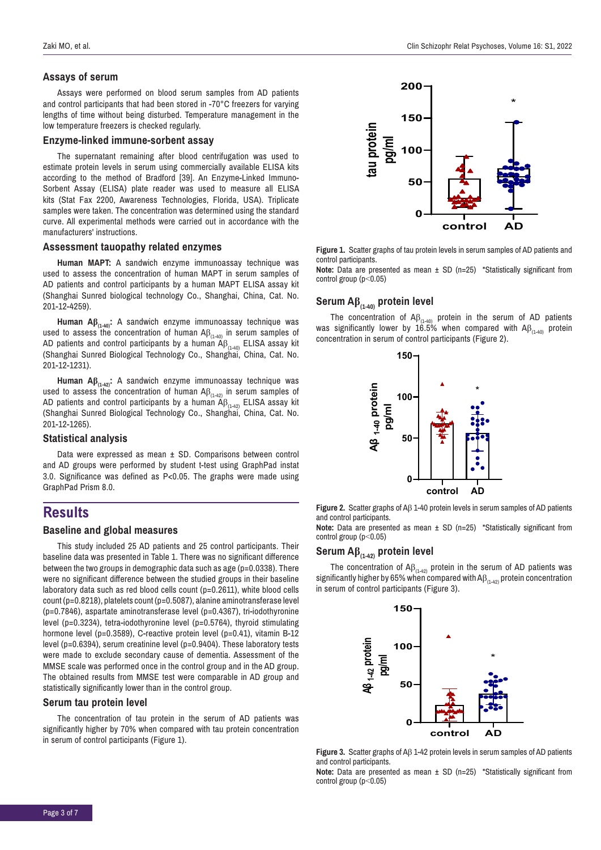## **Assays of serum**

Assays were performed on blood serum samples from AD patients and control participants that had been stored in -70°C freezers for varying lengths of time without being disturbed. Temperature management in the low temperature freezers is checked regularly.

#### **Enzyme-linked immune-sorbent assay**

The supernatant remaining after blood centrifugation was used to estimate protein levels in serum using commercially available ELISA kits according to the method of Bradford [39]. An Enzyme-Linked Immuno-Sorbent Assay (ELISA) plate reader was used to measure all ELISA kits (Stat Fax 2200, Awareness Technologies, Florida, USA). Triplicate samples were taken. The concentration was determined using the standard curve. All experimental methods were carried out in accordance with the manufacturers' instructions.

#### **Assessment tauopathy related enzymes**

**Human MAPT:** A sandwich enzyme immunoassay technique was used to assess the concentration of human MAPT in serum samples of AD patients and control participants by a human MAPT ELISA assay kit (Shanghai Sunred biological technology Co., Shanghai, China, Cat. No. 201-12-4259).

**Human Aβ(1-40):** A sandwich enzyme immunoassay technique was used to assess the concentration of human A $\beta_{_{(1\text{-}40)}}$  in serum samples of AD patients and control participants by a human A $\beta_{_{(1\text{-}40)}}$  ELISA assay kit (Shanghai Sunred Biological Technology Co., Shanghai, China, Cat. No. 201-12-1231).

**Human Aβ(1-42):** A sandwich enzyme immunoassay technique was used to assess the concentration of human  $\mathsf{AB}_{(1,42)}$  in serum samples of AD patients and control participants by a human  $\widetilde{\mathsf{A}}\beta_{(1-42)}$  ELISA assay kit (Shanghai Sunred Biological Technology Co., Shanghai, China, Cat. No. 201-12-1265).

#### **Statistical analysis**

Data were expressed as mean ± SD. Comparisons between control and AD groups were performed by student t-test using GraphPad instat 3.0. Significance was defined as P<0.05. The graphs were made using GraphPad Prism 8.0.

## **Results**

## **Baseline and global measures**

This study included 25 AD patients and 25 control participants. Their baseline data was presented in Table 1. There was no significant difference between the two groups in demographic data such as age (p=0.0338). There were no significant difference between the studied groups in their baseline laboratory data such as red blood cells count (p=0.2611), white blood cells count (p=0.8218), platelets count (p=0.5087), alanine aminotransferase level (p=0.7846), aspartate aminotransferase level (p=0.4367), tri-iodothyronine level (p=0.3234), tetra-iodothyronine level (p=0.5764), thyroid stimulating hormone level (p=0.3589), C-reactive protein level (p=0.41), vitamin B-12 level (p=0.6394), serum creatinine level (p=0.9404). These laboratory tests were made to exclude secondary cause of dementia. Assessment of the MMSE scale was performed once in the control group and in the AD group. The obtained results from MMSE test were comparable in AD group and statistically significantly lower than in the control group.

#### **Serum tau protein level**

The concentration of tau protein in the serum of AD patients was significantly higher by 70% when compared with tau protein concentration in serum of control participants (Figure 1).



**Figure 1.** Scatter graphs of tau protein levels in serum samples of AD patients and control participants.

**Note:** Data are presented as mean  $\pm$  SD (n=25) \*Statistically significant from control group (p˂0.05)

## **Serum Aβ(1-40) protein level**

The concentration of  $AB_{(1-40)}$  protein in the serum of AD patients was significantly lower by  $16.5\%$  when compared with  $AB_{(1-40)}$  protein concentration in serum of control participants (Figure 2).



**Figure 2.** Scatter graphs of Aβ 1-40 protein levels in serum samples of AD patients and control participants.

**Note:** Data are presented as mean ± SD (n=25) \*Statistically significant from control group (p˂0.05)

## **Serum Aβ(1-42) protein level**

The concentration of  $AB_{(1-42)}$  protein in the serum of AD patients was significantly higher by 65% when compared with  $AB_{(1-42)}$  protein concentration in serum of control participants (Figure 3).



**Figure 3.** Scatter graphs of Aβ 1-42 protein levels in serum samples of AD patients and control participants.

**Note:** Data are presented as mean  $\pm$  SD (n=25) \*Statistically significant from control group (p˂0.05)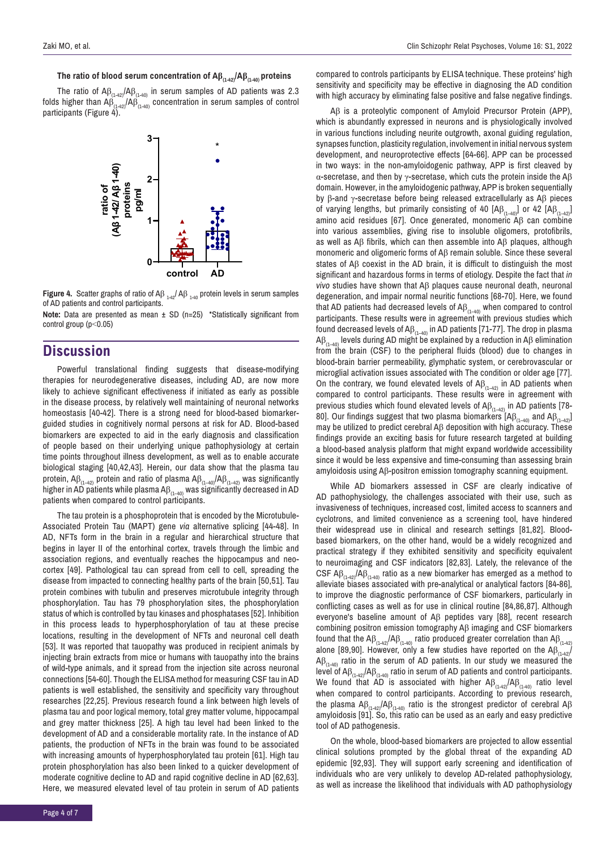#### **The ratio of blood serum concentration of Aβ(1-42)/Aβ(1-40) proteins**

The ratio of  $AB_{(1-42)}/AB_{(1-40)}$  in serum samples of AD patients was 2.3 folds higher than Aβ<sub>(1-42</sub>/Aβ<sub>(1-40)</sub> concentration in serum samples of control<br>portisipants (Figure 4) participants (Figure 4).



**Figure 4.** Scatter graphs of ratio of  $\mathsf{AB}_{1\rightarrow 2}/\mathsf{AB}_{1\rightarrow 0}$  protein levels in serum samples of AD patients and control participants.

**Note:** Data are presented as mean ± SD (n=25) \*Statistically significant from control group (p˂0.05)

## **Discussion**

Powerful translational finding suggests that disease-modifying therapies for neurodegenerative diseases, including AD, are now more likely to achieve significant effectiveness if initiated as early as possible in the disease process, by relatively well maintaining of neuronal networks homeostasis [40-42]. There is a strong need for blood-based biomarkerguided studies in cognitively normal persons at risk for AD. Blood-based biomarkers are expected to aid in the early diagnosis and classification of people based on their underlying unique pathophysiology at certain time points throughout illness development, as well as to enable accurate biological staging [40,42,43]. Herein, our data show that the plasma tau protein,  $AB_{(1-42)}$  protein and ratio of plasma  $AB_{(1-40)}/AB_{(1-42)}$  was significantly higher in AD patients while plasma A $\beta_{(1-40)}$  was significantly decreased in AD patients when compared to control participants.

The tau protein is a phosphoprotein that is encoded by the Microtubule-Associated Protein Tau (MAPT) gene *via* alternative splicing [44-48]. In AD, NFTs form in the brain in a regular and hierarchical structure that begins in layer II of the entorhinal cortex, travels through the limbic and association regions, and eventually reaches the hippocampus and neocortex [49]. Pathological tau can spread from cell to cell, spreading the disease from impacted to connecting healthy parts of the brain [50,51]. Tau protein combines with tubulin and preserves microtubule integrity through phosphorylation. Tau has 79 phosphorylation sites, the phosphorylation status of which is controlled by tau kinases and phosphatases [52]. Inhibition in this process leads to hyperphosphorylation of tau at these precise locations, resulting in the development of NFTs and neuronal cell death [53]. It was reported that tauopathy was produced in recipient animals by injecting brain extracts from mice or humans with tauopathy into the brains of wild-type animals, and it spread from the injection site across neuronal connections [54-60]. Though the ELISA method for measuring CSF tau in AD patients is well established, the sensitivity and specificity vary throughout researches [22,25]. Previous research found a link between high levels of plasma tau and poor logical memory, total grey matter volume, hippocampal and grey matter thickness [25]. A high tau level had been linked to the development of AD and a considerable mortality rate. In the instance of AD patients, the production of NFTs in the brain was found to be associated with increasing amounts of hyperphosphorylated tau protein [61]. High tau protein phosphorylation has also been linked to a quicker development of moderate cognitive decline to AD and rapid cognitive decline in AD [62,63]. Here, we measured elevated level of tau protein in serum of AD patients

compared to controls participants by ELISA technique. These proteins' high sensitivity and specificity may be effective in diagnosing the AD condition with high accuracy by eliminating false positive and false negative findings.

Aβ is a proteolytic component of Amyloid Precursor Protein (APP), which is abundantly expressed in neurons and is physiologically involved in various functions including neurite outgrowth, axonal guiding regulation, synapses function, plasticity regulation, involvement in initial nervous system development, and neuroprotective effects [64-66]. APP can be processed in two ways: in the non-amyloidogenic pathway, APP is first cleaved by α-secretase, and then by  $γ$ -secretase, which cuts the protein inside the A $β$ domain. However, in the amyloidogenic pathway, APP is broken sequentially by β-and γ-secretase before being released extracellularly as Aβ pieces of varying lengths, but primarily consisting of 40  $[A\beta_{(1-40)}]$  or 42  $[A\beta_{(1-42)}]$ amino acid residues [67]. Once generated, monomeric Aβ can combine into various assemblies, giving rise to insoluble oligomers, protofibrils, as well as Aβ fibrils, which can then assemble into Aβ plaques, although monomeric and oligomeric forms of Aβ remain soluble. Since these several states of Aβ coexist in the AD brain, it is difficult to distinguish the most significant and hazardous forms in terms of etiology. Despite the fact that *in vivo* studies have shown that Aβ plaques cause neuronal death, neuronal degeneration, and impair normal neuritic functions [68-70]. Here, we found that AD patients had decreased levels of  $\mathsf{AB}_{(1-40)}$  when compared to control participants. These results were in agreement with previous studies which found decreased levels of  $AB_{(1-40)}$  in AD patients [71-77]. The drop in plasma Aβ<sub>(1–40</sub>) levels during AD might be explained by a reduction in Aβ elimination from the brain (CSF) to the peripheral fluids (blood) due to changes in blood-brain barrier permeability, glymphatic system, or cerebrovascular or microglial activation issues associated with The condition or older age [77]. On the contrary, we found elevated levels of  $AB_{(1-42)}$  in AD patients when compared to control participants. These results were in agreement with previous studies which found elevated levels of  $AB_{(1-42)}$  in AD patients [78-80]. Our findings suggest that two plasma biomarkers  $[AB_{(1-40)}$  and  $AB_{(1-42)}$ ] may be utilized to predict cerebral Aβ deposition with high accuracy. These findings provide an exciting basis for future research targeted at building a blood-based analysis platform that might expand worldwide accessibility since it would be less expensive and time-consuming than assessing brain amyloidosis using Aβ-positron emission tomography scanning equipment.

While AD biomarkers assessed in CSF are clearly indicative of AD pathophysiology, the challenges associated with their use, such as invasiveness of techniques, increased cost, limited access to scanners and cyclotrons, and limited convenience as a screening tool, have hindered their widespread use in clinical and research settings [81,82]. Bloodbased biomarkers, on the other hand, would be a widely recognized and practical strategy if they exhibited sensitivity and specificity equivalent to neuroimaging and CSF indicators [82,83]. Lately, the relevance of the CSF  $\mathsf{AB}_{(1-42)}/\mathsf{AB}_{(1-40)}$  ratio as a new biomarker has emerged as a method to alleviate biases associated with pre-analytical or analytical factors [84-86], to improve the diagnostic performance of CSF biomarkers, particularly in conflicting cases as well as for use in clinical routine [84,86,87]. Although everyone's baseline amount of Aβ peptides vary [88], recent research combining positron emission tomography Aβ imaging and CSF biomarkers found that the  $\mathsf{AB}_{(1\text{-}42)}\mathsf{AB}_{(1\text{-}40)}$  ratio produced greater correlation than  $\mathsf{AB}_{(1\text{-}42)}$ alone [89,90]. However, only a few studies have reported on the  $AB_{(1,4,2)}$  $\Delta\beta_{(1-40)}$  ratio in the serum of AD patients. In our study we measured the level of Aβ<sub>(1-42</sub>)/Aβ<sub>(1-40</sub>) ratio in serum of AD patients and control participants. We found that AD is associated with higher  $AB_{(1-42)}/AB_{(1-40)}$  ratio level when compared to control participants. According to previous research, the plasma  $\text{A}\beta_{(1-42)}\text{/A}\beta_{(1-40)}$  ratio is the strongest predictor of cerebral Aβ amyloidosis [91]. So, this ratio can be used as an early and easy predictive tool of AD pathogenesis.

On the whole, blood-based biomarkers are projected to allow essential clinical solutions prompted by the global threat of the expanding AD epidemic [92,93]. They will support early screening and identification of individuals who are very unlikely to develop AD-related pathophysiology, as well as increase the likelihood that individuals with AD pathophysiology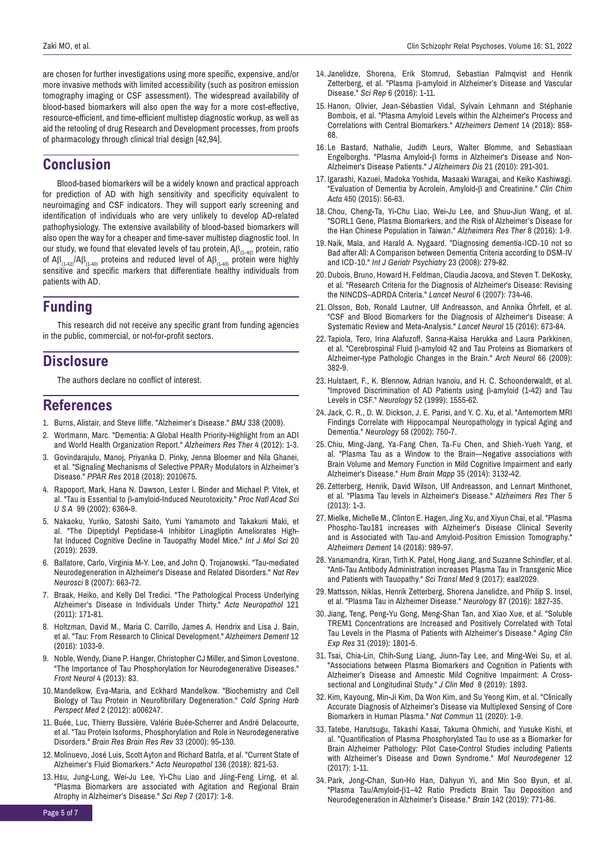are chosen for further investigations using more specific, expensive, and/or more invasive methods with limited accessibility (such as positron emission tomography imaging or CSF assessment). The widespread availability of blood-based biomarkers will also open the way for a more cost-effective, resource-efficient, and time-efficient multistep diagnostic workup, as well as aid the retooling of drug Research and Development processes, from proofs of pharmacology through clinical trial design [42,94].

## **Conclusion**

Blood-based biomarkers will be a widely known and practical approach for prediction of AD with high sensitivity and specificity equivalent to neuroimaging and CSF indicators. They will support early screening and identification of individuals who are very unlikely to develop AD-related pathophysiology. The extensive availability of blood-based biomarkers will also open the way for a cheaper and time-saver multistep diagnostic tool. In our study, we found that elevated levels of tau protein,  $AB_{(1-42)}$  protein, ratio of  $\mathsf{AB}_{(1-40)}\mathsf{AB}_{(1-40)}$  proteins and reduced level of  $\mathsf{AB}_{(1-40)}$  protein were highly sensitive and specific markers that differentiate healthy individuals from patients with AD.

# **Funding**

This research did not receive any specific grant from funding agencies in the public, commercial, or not-for-profit sectors.

## **Disclosure**

The authors declare no conflict of interest.

## **References**

- 1. Burns, Alistair, and Steve Iliffe. "[Alzheimer's Disease](https://www.bmj.com/content/338/bmj.b158)." *BMJ* 338 (2009).
- 2. Wortmann, Marc. "[Dementia: A Global Health Priority-Highlight from an ADI](https://alzres.biomedcentral.com/articles/10.1186/alzrt143) [and World Health Organization Report.](https://alzres.biomedcentral.com/articles/10.1186/alzrt143)" *Alzheimers Res Ther* 4 (2012): 1-3.
- 3. Govindarajulu, Manoj, Priyanka D. Pinky, Jenna Bloemer and Nila Ghanei, et al. ["Signaling Mechanisms of Selective PPAR](https://www.hindawi.com/journals/ppar/2018/2010675/)γ Modulators in Alzheimer's [Disease."](https://www.hindawi.com/journals/ppar/2018/2010675/) *PPAR Res* 2018 (2018): 2010675.
- 4. Rapoport, Mark, Hana N. Dawson, Lester I. Binder and Michael P. Vitek, et al. "Tau is Essential to β[-amyloid-Induced Neurotoxicity."](https://www.pnas.org/content/99/9/6364) *Proc Natl Acad Sci U S A* 99 (2002): 6364-9.
- 5. Nakaoku, Yuriko, Satoshi Saito, Yumi Yamamoto and Takakuni Maki, et al. ["The Dipeptidyl Peptidase-4 Inhibitor Linagliptin Ameliorates High](https://www.mdpi.com/1422-0067/20/10/2539)[fat Induced Cognitive Decline in Tauopathy Model Mice."](https://www.mdpi.com/1422-0067/20/10/2539) *Int J Mol Sci* 20 (2019): 2539.
- 6. Ballatore, Carlo, Virginia M-Y. Lee, and John Q. Trojanowski. ["Tau-mediated](https://www.nature.com/articles/nrn2194) [Neurodegeneration in Alzheimer's Disease and Related Disorders."](https://www.nature.com/articles/nrn2194) *Nat Rev Neurosci* 8 (2007): 663-72.
- 7. Braak, Heiko, and Kelly Del Tredici. "[The Pathological Process Underlying](https://link.springer.com/article/10.1007/s00401-010-0789-4) [Alzheimer's Disease in Individuals Under Thirty.](https://link.springer.com/article/10.1007/s00401-010-0789-4)" *Acta Neuropathol* 121 (2011): 171-81.
- 8. Holtzman, David M., Maria C. Carrillo, James A. Hendrix and Lisa J. Bain, et al. ["Tau: From Research to Clinical Development."](https://alz-journals.onlinelibrary.wiley.com/doi/10.1016/j.jalz.2016.03.018) *Alzheimers Dement* 12 (2016): 1033-9.
- 9. Noble, Wendy, Diane P. Hanger, Christopher CJ Miller, and Simon Lovestone. ["The Importance of Tau Phosphorylation for Neurodegenerative Diseases."](https://www.frontiersin.org/articles/10.3389/fneur.2013.00083/full) *Front Neurol* 4 (2013): 83.
- 10.Mandelkow, Eva-Maria, and Eckhard Mandelkow. ["Biochemistry and Cell](http://perspectivesinmedicine.cshlp.org/content/2/7/a006247) [Biology of Tau Protein in Neurofibrillary Degeneration."](http://perspectivesinmedicine.cshlp.org/content/2/7/a006247) *Cold Spring Harb Perspect Med* 2 (2012): a006247.
- 11. Buée, Luc, Thierry Bussière, Valérie Buée-Scherrer and André Delacourte, et al[. "Tau Protein Isoforms, Phosphorylation and Role in Neurodegenerative](https://www.sciencedirect.com/science/article/abs/pii/S0165017300000199?via%3Dihub) [Disorders."](https://www.sciencedirect.com/science/article/abs/pii/S0165017300000199?via%3Dihub) *Brain Res Brain Res Rev* 33 (2000): 95-130.
- 12.Molinuevo, José Luis, Scott Ayton and Richard Batrla, et al. ["Current State of](https://link.springer.com/article/10.1007/s00401-018-1932-x) [Alzheimer's Fluid Biomarkers."](https://link.springer.com/article/10.1007/s00401-018-1932-x) *Acta Neuropathol* 136 (2018): 821-53.
- 13. Hsu, Jung-Lung, Wei-Ju Lee, Yi-Chu Liao and Jiing-Feng Lirng, et al. ["Plasma Biomarkers are associated with Agitation and Regional Brain](https://www.nature.com/articles/s41598-017-05390-1) [Atrophy in Alzheimer's Disease."](https://www.nature.com/articles/s41598-017-05390-1) *Sci Rep* 7 (2017): 1-8.
- 14. Janelidze, Shorena, Erik Stomrud, Sebastian Palmqvist and Henrik Zetterberg, et al. "Plasma β[-amyloid in Alzheimer's Disease and Vascular](https://www.nature.com/articles/srep26801)  [Disease."](https://www.nature.com/articles/srep26801) *Sci Rep* 6 (2016): 1-11.
- 15. Hanon, Olivier, Jean‐Sébastien Vidal, Sylvain Lehmann and Stéphanie Bombois, et al. ["Plasma Amyloid Levels within the Alzheimer's Process and](https://alz-journals.onlinelibrary.wiley.com/doi/10.1016/j.jalz.2018.01.004)  [Correlations with Central Biomarkers."](https://alz-journals.onlinelibrary.wiley.com/doi/10.1016/j.jalz.2018.01.004) *Alzheimers Dement* 14 (2018): 858- 68.
- 16. Le Bastard, Nathalie, Judith Leurs, Walter Blomme, and Sebastiaan Engelborghs. "Plasma Amyloid-β [forms in Alzheimer's Disease and Non-](https://www.sciencedirect.com/science/article/abs/pii/S0009898115003460?via%3Dihub)[Alzheimer's Disease Patients."](https://www.sciencedirect.com/science/article/abs/pii/S0009898115003460?via%3Dihub) *J Alzheimers Dis* 21 (2010): 291-301.
- 17. Igarashi, Kazuei, Madoka Yoshida, Masaaki Waragai, and Keiko Kashiwagi. "Evaluation of Dementia by Acrolein, Amyloid-β and Creatinine." *Clin Chim Acta* 450 (2015): 56-63.
- 18. Chou, Cheng-Ta, Yi-Chu Liao, Wei-Ju Lee, and Shuu-Jiun Wang, et al. ["SORL1 Gene, Plasma Biomarkers, and the Risk of Alzheimer's Disease for](https://alzres.biomedcentral.com/articles/10.1186/s13195-016-0222-x)  [the Han Chinese Population in Taiwan."](https://alzres.biomedcentral.com/articles/10.1186/s13195-016-0222-x) *Alzheimers Res Ther* 8 (2016): 1-9.
- 19. Naik, Mala, and Harald A. Nygaard. ["Diagnosing dementia](https://onlinelibrary.wiley.com/doi/10.1002/gps.1874)‐ICD‐10 not so [Bad after All: A Comparison between Dementia Criteria according to DSM](https://onlinelibrary.wiley.com/doi/10.1002/gps.1874)‐IV [and ICD](https://onlinelibrary.wiley.com/doi/10.1002/gps.1874)‐10." *Int J Geriatr Psychiatry* 23 (2008): 279-82.
- 20. Dubois, Bruno, Howard H. Feldman, Claudia Jacova, and Steven T. DeKosky, et al. ["Research Criteria for the Diagnosis of Alzheimer's Disease: Revising](https://www.thelancet.com/journals/laneur/article/PIIS1474-4422(07)70178-3/fulltext)  [the NINCDS–ADRDA Criteria."](https://www.thelancet.com/journals/laneur/article/PIIS1474-4422(07)70178-3/fulltext) *Lancet Neurol* 6 (2007): 734-46.
- 21. Olsson, Bob, Ronald Lautner, Ulf Andreasson, and Annika Öhrfelt, et al. ["CSF and Blood Biomarkers for the Diagnosis of Alzheimer's Disease: A](https://www.thelancet.com/journals/laneur/article/PIIS1474-4422(16)00070-3/fulltext)  [Systematic Review and Meta-Analysis.](https://www.thelancet.com/journals/laneur/article/PIIS1474-4422(16)00070-3/fulltext)" *Lancet Neurol* 15 (2016): 673-84.
- 22. Tapiola, Tero, Irina Alafuzoff, Sanna-Kaisa Herukka and Laura Parkkinen, et al. "Cerebrospinal Fluid β[-amyloid 42 and Tau Proteins as Biomarkers of](https://jamanetwork.com/journals/jamaneurology/fullarticle/796677)  [Alzheimer-type Pathologic Changes in the Brain."](https://jamanetwork.com/journals/jamaneurology/fullarticle/796677) *Arch Neurol* 66 (2009): 382-9.
- 23. Hulstaert, F., K. B[lennow, Adrian Ivanoiu, and H. C. Schoonderwaldt, et al.](https://n.neurology.org/content/52/8/1555)  ["Improved Discrimination of AD Pa](https://n.neurology.org/content/52/8/1555)tients using β-amyloid (1-42) and Tau Levels in CSF." *Neurology* 52 (1999): 1555-62.
- 24. Jack, C. R., D. W. Dickson, J. E. Parisi, and Y. C. Xu, et al. ["Antemortem MRI](https://n.neurology.org/content/58/5/750)  [Findings Correlate with Hippocampal Neuropathology in typical Aging and](https://n.neurology.org/content/58/5/750)  [Dementia."](https://n.neurology.org/content/58/5/750) *Neurology* 58 (2002): 750-7.
- 25. Chiu, Ming‐Jang, Ya‐Fang Chen, Ta‐Fu Chen, and Shieh‐Yueh Yang, et al. ["Plasma Tau as a Window to the Brain—Negative associations with](https://onlinelibrary.wiley.com/doi/abs/10.1002/hbm.22390)  [Brain Volume and Memory Function in Mild Cognitive Impairment and early](https://onlinelibrary.wiley.com/doi/abs/10.1002/hbm.22390)  [Alzheimer's Disease."](https://onlinelibrary.wiley.com/doi/abs/10.1002/hbm.22390) *Hum Brain Mapp* 35 (2014): 3132-42.
- 26. Zetterberg, Henrik, David Wilson, Ulf Andreasson, and Lennart Minthonet, et al. ["Plasma Tau levels in Alzheimer's Disease."](https://alzres.biomedcentral.com/articles/10.1186/alzrt163) *Alzheimers Res Ther* 5 (2013): 1-3.
- 27.Mielke, Michelle M., Clinton E. Hagen, Jing Xu, and Xiyun Chai, et al. ["Plasma](https://alz-journals.onlinelibrary.wiley.com/doi/10.1016/j.jalz.2018.02.013)  Phospho‐[Tau181 increases with Alzheimer's Disease Clinical Severity](https://alz-journals.onlinelibrary.wiley.com/doi/10.1016/j.jalz.2018.02.013)  and is Associated with Tau‐and Amyloid‐[Positron Emission Tomography."](https://alz-journals.onlinelibrary.wiley.com/doi/10.1016/j.jalz.2018.02.013)  *Alzheimers Dement* 14 (2018): 989-97.
- 28. Yanamandra, Kiran, Tirth K. Patel, Hong Jiang, and Suzanne Schindler, et al. ["Anti-Tau Antibody Administration increases Plasma Tau in Transgenic Mice](https://www.science.org/doi/10.1126/scitranslmed.aal2029)  [and Patients with Tauopathy."](https://www.science.org/doi/10.1126/scitranslmed.aal2029) *Sci Transl Med* 9 (2017): eaal2029.
- 29.Mattsson, Niklas, Henrik Zetterberg, Shorena Janelidze, and Philip S. Insel, et al. ["Plasma Tau in Alzheimer Disease."](https://n.neurology.org/content/87/17/1827) *Neurology* 87 (2016): 1827-35.
- 30. Jiang, Teng, Peng-Yu Gong, Meng-Shan Tan, and Xiao Xue, et al. ["Soluble](https://link.springer.com/article/10.1007/s40520-019-01122-9)  [TREM1 Concentrations are Increased and Positively Correlated with Total](https://link.springer.com/article/10.1007/s40520-019-01122-9)  [Tau Levels in the Plasma of Patients with Alzheimer's Disease."](https://link.springer.com/article/10.1007/s40520-019-01122-9) *Aging Clin Exp Res* 31 (2019): 1801-5.
- 31. Tsai, Chia-Lin, Chih-Sung Liang, Jiunn-Tay Lee, and Ming-Wei Su, et al. ["Associations between Plasma Biomarkers and Cognition in Patients with](https://www.mdpi.com/2077-0383/8/11/1893)  [Alzheimer's Disease and Amnestic Mild Cognitive Impairment: A Cross](https://www.mdpi.com/2077-0383/8/11/1893)[sectional and Longitudinal Study."](https://www.mdpi.com/2077-0383/8/11/1893) *J Clin Med* 8 (2019): 1893.
- 32. Kim, Kayoung, Min-Ji Kim, Da Won Kim, and Su Yeong Kim, et al. ["Clinically](https://www.nature.com/articles/s41467-019-13901-z)  [Accurate Diagnosis of Alzheimer's Disease via Multiplexed Sensing of Core](https://www.nature.com/articles/s41467-019-13901-z)  [Biomarkers in Human Plasma."](https://www.nature.com/articles/s41467-019-13901-z) *Nat Commun* 11 (2020): 1-9.
- 33. Tatebe, Harutsugu, Takashi Kasai, Takuma Ohmichi, and Yusuke Kishi, et al. ["Quantification of Plasma Phosphorylated Tau to use as a Biomarker for](https://molecularneurodegeneration.biomedcentral.com/articles/10.1186/s13024-017-0206-8)  [Brain Alzheimer Pathology: Pilot Case-Control Studies including Patients](https://molecularneurodegeneration.biomedcentral.com/articles/10.1186/s13024-017-0206-8)  [with Alzheimer's Disease and Down Syndrome."](https://molecularneurodegeneration.biomedcentral.com/articles/10.1186/s13024-017-0206-8) *Mol Neurodegener* 12 (2017): 1-11.
- 34. Park, Jong-Chan, Sun-Ho Han, Dahyun Yi, and Min Soo Byun, et al. "Plasma Tau/Amyloid-β[1–42 Ratio Predicts Brain Tau Deposition and](https://academic.oup.com/brain/article/142/3/771/5292577?login=false)  [Neurodegeneration in Alzheimer's Disease."](https://academic.oup.com/brain/article/142/3/771/5292577?login=false) *Brain* 142 (2019): 771-86.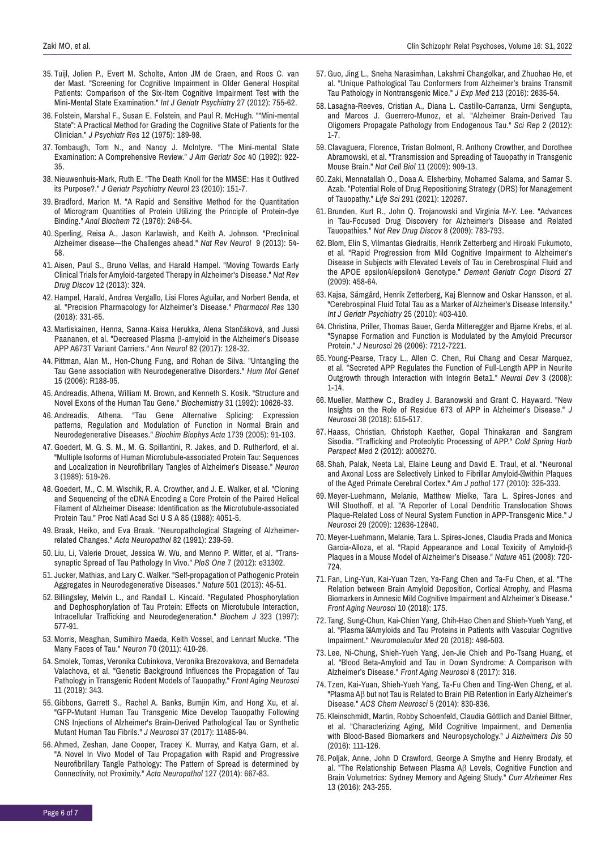- 35. Tuijl, Jolien P., Evert M. Scholte, Anton JM de Craen, and Roos C. van der Mast. ["Screening for Cognitive Impairment in Older General Hospital](https://onlinelibrary.wiley.com/doi/10.1002/gps.2776) Patients: Comparison of the Six‐[Item Cognitive Impairment Test with the](https://onlinelibrary.wiley.com/doi/10.1002/gps.2776) Mini‐[Mental State Examination."](https://onlinelibrary.wiley.com/doi/10.1002/gps.2776) *Int J Geriatr Psychiatry* 27 (2012): 755-62.
- 36. Folstein, Marshal F., Susan E. Folstein, and Paul R. McHugh. [""Mini-mental](https://www.sciencedirect.com/science/article/abs/pii/0022395675900266?via%3Dihub) [State": A Practical Method for Grading the Cognitive State of Patients for the](https://www.sciencedirect.com/science/article/abs/pii/0022395675900266?via%3Dihub) [Clinician."](https://www.sciencedirect.com/science/article/abs/pii/0022395675900266?via%3Dihub) *J Psychiatr Res* 12 (1975): 189-98.
- 37. Tombaugh, Tom N., and Nancy J. McIntyre. "The Mini‐[mental State](https://agsjournals.onlinelibrary.wiley.com/doi/10.1111/j.1532-5415.1992.tb01992.x) [Examination: A Comprehensive Review."](https://agsjournals.onlinelibrary.wiley.com/doi/10.1111/j.1532-5415.1992.tb01992.x) *J Am Geriatr Soc* 40 (1992): 922- 35.
- 38. Nieuwenhuis-Mark, Ruth E. ["The Death Knoll for the MMSE: Has it Outlived](https://journals.sagepub.com/doi/10.1177/0891988710363714) [its Purpose?."](https://journals.sagepub.com/doi/10.1177/0891988710363714) *J Geriatr Psychiatry Neurol* 23 (2010): 151-7.
- 39. Bradford, Marion M. ["A Rapid and Sensitive Method for the Quantitation](https://www.sciencedirect.com/science/article/abs/pii/0003269776905273?via%3Dihub) [of Microgram Quantities of Protein Utilizing the Principle of Protein-dye](https://www.sciencedirect.com/science/article/abs/pii/0003269776905273?via%3Dihub) [Binding."](https://www.sciencedirect.com/science/article/abs/pii/0003269776905273?via%3Dihub) *Anal Biochem* 72 (1976): 248-54.
- 40. Sperling, Reisa A., [Jason Karlawish, and Keith A.](https://doi.org/10.3389/fneur.2017.00328) Johnson. ["Preclinical](https://www.nature.com/articles/nrneurol.2012.241) [Alzheimer disease—the Challenges ahead."](https://www.nature.com/articles/nrneurol.2012.241) *Nat Rev Neurol* 9 (2013): 54- 58.
- 41. Aisen, Paul S., Bruno Vellas, and Harald Hampel. ["Moving Towards Early](https://www.nature.com/articles/nrd3842-c1) [Clinical Trials for Amyloid-targeted Therapy in Alzheimer's Disease."](https://www.nature.com/articles/nrd3842-c1) *Nat Rev Drug Discov* 12 (2013): 324.
- 42. Hampel, Harald, Andrea Vergallo, Lisi Flores Aguilar, and Norbert Benda, et al. ["Precision Pharmacology for Alzheimer's Disease."](https://www.sciencedirect.com/science/article/abs/pii/S1043661817313300?via%3Dihub) *Pharmacol Res* 130 (2018): 331-65.
- 43.Martiskainen, Henna, Sanna‐Kaisa Herukka, Alena Stančáková, and Jussi Paananen, et al. "Decreased Plasma β‐[amyloid in the Alzheimer's Disease](https://onlinelibrary.wiley.com/doi/10.1002/ana.24969) [APP A673T Variant Carriers."](https://onlinelibrary.wiley.com/doi/10.1002/ana.24969) *Ann Neurol* 82 (2017): 128-32.
- 44. Pittman, Alan M., Hon-Chung Fung, and Rohan de Silva. ["Untangling the](https://academic.oup.com/hmg/article/15/suppl_2/R188/623134?login=false) [Tau Gene association with Neurodegenerative Disorders."](https://academic.oup.com/hmg/article/15/suppl_2/R188/623134?login=false) *Hum Mol Genet* 15 (2006): R188-95.
- 45. Andreadis, Athena, William M. Brown, and Kenneth S. Kosik. ["Structure and](https://pubs.acs.org/doi/abs/10.1021/bi00158a027) [Novel Exons of the Human Tau Gene."](https://pubs.acs.org/doi/abs/10.1021/bi00158a027) *Biochemistry* 31 (1992): 10626-33.
- 46. Andreadis, Athena. ["Tau Gene Alternative Splicing: Expression](https://www.sciencedirect.com/science/article/pii/S0925443904001541?via%3Dihub) [patterns, Regulation and Modulation of Function in Normal Brain and](https://www.sciencedirect.com/science/article/pii/S0925443904001541?via%3Dihub) [Neurodegenerative Diseases."](https://www.sciencedirect.com/science/article/pii/S0925443904001541?via%3Dihub) *Biochim Biophys Acta* 1739 (2005): 91-103.
- 47. Goedert, M. G. S. M., M. G. Spillantini, R. Jakes, and D. Rutherford, et al. ["Multiple Isoforms of Human Microtubule-associated Protein Tau: Sequences](https://www.cell.com/neuron/pdf/0896-6273(89)90210-9.pdf?_returnURL=https%3A%2F%2Flinkinghub.elsevier.com%2Fretrieve%2Fpii%2F0896627389902109%3Fshowall%3Dtrue) [and Localization in Neurofibrillary Tangles of Alzheimer's Disease."](https://www.cell.com/neuron/pdf/0896-6273(89)90210-9.pdf?_returnURL=https%3A%2F%2Flinkinghub.elsevier.com%2Fretrieve%2Fpii%2F0896627389902109%3Fshowall%3Dtrue) *Neuron* 3 (1989): 519-26.
- 48. Goedert, M., C. M. Wischik, R. A. Crowther, and J. E. Walker, et al. ["Cloning](https://www.pnas.org/content/85/11/4051) [and Sequencing of the cDNA Encoding a Core Protein of the Paired Helical](https://www.pnas.org/content/85/11/4051) [Filament of Alzheimer Disease: Identification as the Microtubule-associated](https://www.pnas.org/content/85/11/4051) [Protein Tau."](https://www.pnas.org/content/85/11/4051) Proc Natl Acad Sci U S A 85 (1988): 4051-5.
- 49. Braak, Heiko, and Eva Braak. ["Neuropathological Stageing of Alzheimer](https://link.springer.com/article/10.1007/BF00308809)[related Changes."](https://link.springer.com/article/10.1007/BF00308809) *Acta Neuropathol* 82 (1991): 239-59.
- 50. Liu, Li, Valerie Drouet, Jessica W. Wu, and Menno P. Witter, et al. "Transsynaptic Spread of Tau Pathology In Vivo." *PloS One* 7 (2012): e31302.
- 51. Jucker, Mathias, and Lary C. Walker. ["Self-propagation of Pathogenic Protein](https://journals.plos.org/plosone/article?id=10.1371/journal.pone.0031302) [Aggregates in Neurodegenerative Diseases."](https://journals.plos.org/plosone/article?id=10.1371/journal.pone.0031302) *Nature* 501 (2013): 45-51.
- 52. Billingsley, Melvin L., and Randall L. Kincaid. ["Regulated Phosphorylation](https://portlandpress.com/biochemj/article-abstract/323/3/577/33938/Regulated-phosphorylation-and-dephosphorylation-of?redirectedFrom=fulltext) [and Dephosphorylation of Tau Protein: Effects on Microtubule Interaction,](https://portlandpress.com/biochemj/article-abstract/323/3/577/33938/Regulated-phosphorylation-and-dephosphorylation-of?redirectedFrom=fulltext) [Intracellular Trafficking and Neurodegeneration."](https://portlandpress.com/biochemj/article-abstract/323/3/577/33938/Regulated-phosphorylation-and-dephosphorylation-of?redirectedFrom=fulltext) *Biochem J* 323 (1997): 577-91.
- 53.Morris, Meaghan, Sumihiro Maeda, Keith Vossel, and Lennart Mucke. ["The](https://www.cell.com/neuron/fulltext/S0896-6273(11)00311-4?_returnURL=https%3A%2F%2Flinkinghub.elsevier.com%2Fretrieve%2Fpii%2FS0896627311003114%3Fshowall%3Dtrue) [Many Faces of Tau."](https://www.cell.com/neuron/fulltext/S0896-6273(11)00311-4?_returnURL=https%3A%2F%2Flinkinghub.elsevier.com%2Fretrieve%2Fpii%2FS0896627311003114%3Fshowall%3Dtrue) *Neuron* 70 (2011): 410-26.
- 54. Smolek, Tomas, Veronika Cubinkova, Veronika Brezovakova, and Bernadeta Valachova, et al. ["Genetic Background Influences the Propagation of Tau](https://www.frontiersin.org/articles/10.3389/fnagi.2019.00343/full) [Pathology in Transgenic Rodent Models of Tauopathy."](https://www.frontiersin.org/articles/10.3389/fnagi.2019.00343/full) *Front Aging Neurosci*  11 (2019): 343.
- 55. Gibbons, Garrett S., Rachel A. Banks, Bumjin Kim, and Hong Xu, et al. ["GFP-Mutant Human Tau Transgenic Mice Develop Tauopathy Following](https://www.jneurosci.org/content/37/47/11485) [CNS Injections of Alzheimer's Brain-Derived Pathological Tau or Synthetic](https://www.jneurosci.org/content/37/47/11485) [Mutant Human Tau Fibrils."](https://www.jneurosci.org/content/37/47/11485) *J Neurosci* 37 (2017): 11485-94.
- 56. Ahmed, Zeshan, Jane Cooper, Tracey K. Murray, and Katya Garn, et al. ["A Novel In Vivo Model of Tau Propagation with Rapid and Progressive](https://link.springer.com/article/10.1007/s00401-014-1254-6) [Neurofibrillary Tangle Pathology: The Pattern of Spread is determined by](https://link.springer.com/article/10.1007/s00401-014-1254-6) [Connectivity, not Proximity."](https://link.springer.com/article/10.1007/s00401-014-1254-6) *Acta Neuropathol* 127 (2014): 667-83.
- 57. Guo, Jing L., Sneha Narasimhan, Lakshmi Changolkar, and Zhuohao He, et al. ["Unique Pathological Tau Conformers from Alzheimer's brains Transmit](https://rupress.org/jem/article/213/12/2635/42064/Unique-pathological-tau-conformers-from-Alzheimer) [Tau Pathology in Nontransgenic Mice."](https://rupress.org/jem/article/213/12/2635/42064/Unique-pathological-tau-conformers-from-Alzheimer) *J Exp Med* 213 (2016): 2635-54.
- 58. Lasagna-Reeves, Cristian A., Diana L. Castillo-Carranza, Urmi Sengupta, and Marcos J. Guerrero-Munoz, et al. ["Alzheimer Brain-Derived Tau](https://www.nature.com/articles/srep00700) [Oligomers Propagate Pathology from Endogenous Tau."](https://www.nature.com/articles/srep00700) *Sci Rep* 2 (2012): 1-7.
- 59. Clavaguera, Florence, Tristan Bolmont, R. Anthony Crowther, and Dorothee Abramowski, et al. ["Transmission and Spreading of Tauopathy in Transgenic](https://www.nature.com/articles/ncb1901)  [Mouse Brain."](https://www.nature.com/articles/ncb1901) *Nat Cell Biol* 11 (2009): 909-13.
- 60. Zaki, Mennatallah O., Doaa A. Elsherbiny, Mohamed Salama, and Samar S. Azab. ["Potential Role of Drug Repositioning Strategy \(DRS\) for Management](https://www.sciencedirect.com/science/article/abs/pii/S0024320521012546?via%3Dihub) [of Tauopathy."](https://www.sciencedirect.com/science/article/abs/pii/S0024320521012546?via%3Dihub) *Life Sci* 291 (2021): 120267.
- 61. Brunden, Kurt R., John Q. Trojanowski and Virginia M-Y. Lee. ["Advances](https://www.nature.com/articles/nrd2959)  [in Tau-Focused Drug Discovery for Alzheimer's Disease and Related](https://www.nature.com/articles/nrd2959) [Tauopathies."](https://www.nature.com/articles/nrd2959) *Nat Rev Drug Discov* 8 (2009): 783-793.
- 62. Blom, Elin S, Vilmantas Giedraitis, Henrik Zetterberg and Hiroaki Fukumoto, et al. ["Rapid Progression from Mild Cognitive Impairment to Alzheimer's](https://www.karger.com/Article/Abstract/216841) [Disease in Subjects with Elevated Levels of Tau in Cerebrospinal Fluid and](https://www.karger.com/Article/Abstract/216841) [the APOE epsilon4/epsilon4 Genotype."](https://www.karger.com/Article/Abstract/216841) *Dement Geriatr Cogn Disord* 27 (2009): 458-64.
- 63. Kajsa, Sämgård, Henrik Zetterberg, Kaj Blennow and Oskar Hansson, et al. ["Cerebrospinal Fluid Total Tau as a Marker of Alzheimer's Disease Intensity."](https://onlinelibrary.wiley.com/doi/10.1002/gps.2353) *Int J Geriatr Psychiatry* 25 (2010): 403-410.
- 64. Christina, Priller, Thomas Bauer, Gerda Mitteregger and Bjarne Krebs, et al. ["Synapse Formation and Function is Modulated by the Amyloid Precursor](https://www.jneurosci.org/content/26/27/7212) [Protein."](https://www.jneurosci.org/content/26/27/7212) *J Neurosci* 26 (2006): 7212-7221.
- 65. Young-Pearse, Tracy L., Allen C. Chen, Rui Chang and Cesar Marquez, et al. ["Secreted APP Regulates the Function of Full-Length APP in Neurite](https://neuraldevelopment.biomedcentral.com/articles/10.1186/1749-8104-3-15) [Outgrowth through Interaction with Integrin Beta1."](https://neuraldevelopment.biomedcentral.com/articles/10.1186/1749-8104-3-15) *Neural Dev* 3 (2008): 1-14.
- 66.Mueller, Matthew C., Bradley J. Baranowski and Grant C. Hayward. ["New](https://www.jneurosci.org/content/38/3/515) [Insights on the Role of Residue 673 of APP in Alzheimer's Disease."](https://www.jneurosci.org/content/38/3/515) *J Neurosci* 38 (2018): 515-517.
- 67. Haass, Christian, Christoph Kaether, Gopal Thinakaran and Sangram Sisodia. ["Trafficking and Proteolytic Processing of APP."](http://perspectivesinmedicine.cshlp.org/content/2/5/a006270) *Cold Spring Harb Perspect Med* 2 (2012): a006270.
- 68. Shah, Palak, Neeta Lal, Elaine Leung and David E. Traul, et al. "Neuronal and Axonal Loss are Selectively Linked to Fibrillar Amyloid- within Plaques of the Aged Primate Cerebral Cortex." *Am J pathol* 177 (2010): 325-333.
- 69.Meyer-Luehmann, Melanie, Matthew Mielke, Tara L. Spires-Jones and Will Stoothoff, et al. ["A Reporter of Local Dendritic Translocation Shows](https://www.jneurosci.org/content/29/40/12636) [Plaque-Related Loss of Neural System Function in APP-Transgenic Mice."](https://www.jneurosci.org/content/29/40/12636) *J Neurosci* 29 (2009): 12636-12640.
- 70.Meyer-Luehmann, Melanie, Tara L. Spires-Jones, Claudia Prada and Monica Garcia-Alloza, et al. ["Rapid Appearance and Local Toxicity of Amyloid-](https://www.nature.com/articles/nature06616)β [Plaques in a Mouse Model of Alzheimer's Disease."](https://www.nature.com/articles/nature06616) *Nature* 451 (2008): 720- 724.
- 71. Fan, Ling-Yun, Kai-Yuan Tzen, Ya-Fang Chen and Ta-Fu Chen, et al. ["The](https://www.frontiersin.org/articles/10.3389/fnagi.2018.00175/full)  [Relation between Brain Amyloid Deposition, Cortical Atrophy, and Plasma](https://www.frontiersin.org/articles/10.3389/fnagi.2018.00175/full) [Biomarkers in Amnesic Mild Cognitive Impairment and Alzheimer's Disease."](https://www.frontiersin.org/articles/10.3389/fnagi.2018.00175/full)  *Front Aging Neurosci* 10 (2018): 175.
- 72. Tang, Sung-Chun, Kai-Chien Yang, Chih-Hao Chen and Shieh-Yueh Yang, et al. "Plasma -Amyloids and Tau Proteins in Patients with Vascular Cognitive [Impairment."](https://link.springer.com/article/10.1007/s12017-018-8513-y) *Neuromolecular Med* 20 (2018): 498-503.
- 73. Lee, Ni-Chung, Shieh-Yueh Yang, Jen-Jie Chieh and Po-Tsang Huang, et al. ["Blood Beta-Amyloid and Tau in Down Syndrome: A Comparison with](https://www.frontiersin.org/articles/10.3389/fnagi.2016.00316/full) [Alzheimer's Disease."](https://www.frontiersin.org/articles/10.3389/fnagi.2016.00316/full) *Front Aging Neurosci* 8 (2017): 316.
- 74. Tzen, Kai-Yuan, Shieh-Yueh Yang, Ta-Fu Chen and Ting-Wen Cheng, et al. "Plasma Aβ [but not Tau is Related to Brain PiB Retention in Early Alzheimer's](https://pubs.acs.org/doi/10.1021/cn500101j) [Disease."](https://pubs.acs.org/doi/10.1021/cn500101j) *ACS Chem Neurosci* 5 (2014): 830-836.
- 75. Kleinschmidt, Martin, Robby Schoenfeld, Claudia Göttlich and Daniel Bittner, et al. ["Characterizing Aging, Mild Cognitive Impairment, and Dementia](https://content.iospress.com/articles/journal-of-alzheimers-disease/jad143189) [with Blood-Based Biomarkers and Neuropsychology."](https://content.iospress.com/articles/journal-of-alzheimers-disease/jad143189) *J Alzheimers Dis* 50 (2016): 111-126.
- 76. Poljak, Anne, John D Crawford, George A Smythe and Henry Brodaty, et al. ["The Relationship Between Plasma A](http://www.eurekaselect.com/article/72618)β Levels, Cognitive Function and [Brain Volumetrics: Sydney Memory and Ageing Study."](http://www.eurekaselect.com/article/72618) *Curr Alzheimer Res* 13 (2016): 243-255.